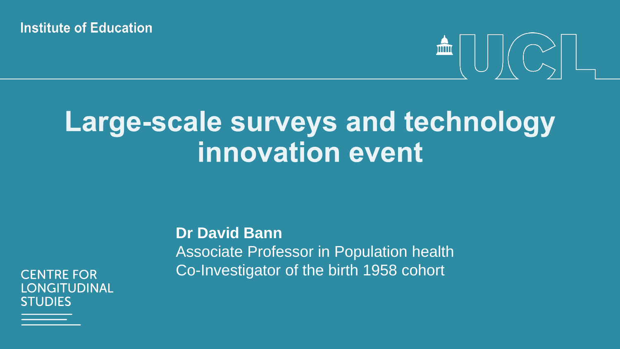**Institute of Education** 

# 

# Large-scale surveys and technology innovation event

**CENTRE FOR \_ONGITUDINAL STUDIES** 

**Dr David Bann** Associate Professor in Population health Co-Investigator of the birth 1958 cohort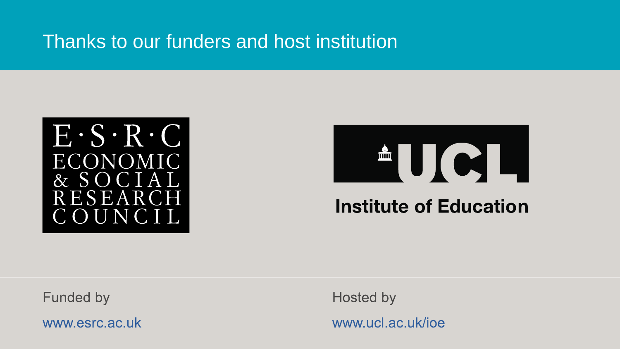## Thanks to our funders and host institution





**Funded by** 

www.esrc.ac.uk

**Hosted by** www.ucl.ac.uk/ioe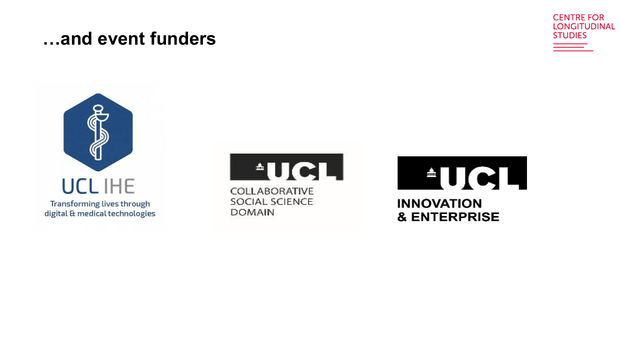#### ...and event funders







**AUCL** 

COLLABORATIVE SOCIAL SCIENCE **DOMAIN** 

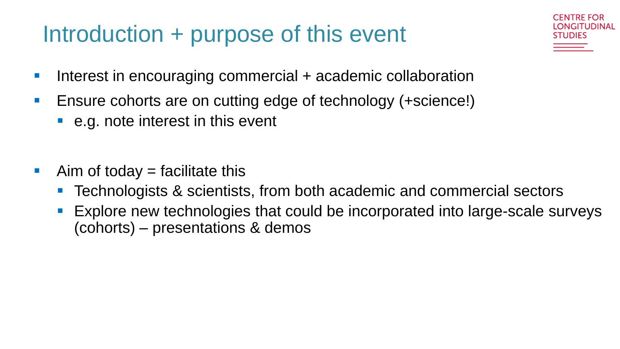## Introduction + purpose of this event

GITUDINAL

- **Interest in encouraging commercial + academic collaboration**
- **Ensure cohorts are on cutting edge of technology (+science!)** 
	- e.g. note interest in this event
- $\blacksquare$  Aim of today = facilitate this
	- Technologists & scientists, from both academic and commercial sectors
	- **Explore new technologies that could be incorporated into large-scale surveys** (cohorts) – presentations & demos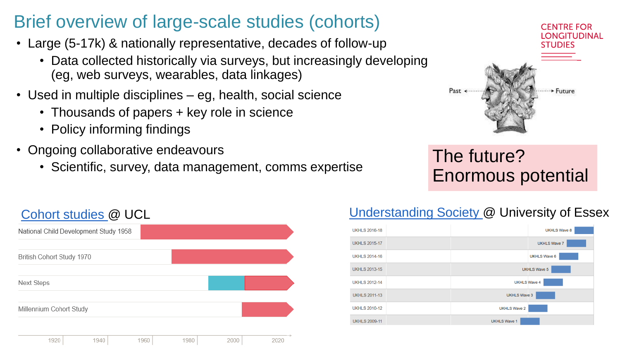## Brief overview of large-scale studies (cohorts)

- Large (5-17k) & nationally representative, decades of follow-up
	- Data collected historically via surveys, but increasingly developing (eg, web surveys, wearables, data linkages)
- Used in multiple disciplines eg, health, social science
	- Thousands of papers + key role in science
	- Policy informing findings
- Ongoing collaborative endeavours
	- Scientific, survey, data management, comms expertise



## The future? Enormous potential



#### [Cohort studies @](https://www.ucl.ac.uk/research/domains/populations-and-lifelong-health/research/cohorts/cohorts-at-ucl) UCL Cohort studies @ UCL Cohort studies @ UCL

| <b>UKHLS 2016-18</b> | <b>UKHLS Wave 8</b> |
|----------------------|---------------------|
| <b>UKHLS 2015-17</b> | <b>UKHLS Wave 7</b> |
| <b>UKHLS 2014-16</b> | <b>UKHLS Wave 6</b> |
| <b>UKHLS 2013-15</b> | <b>UKHLS Wave 5</b> |
| <b>UKHLS 2012-14</b> | <b>UKHLS Wave 4</b> |
| <b>UKHLS 2011-13</b> | <b>UKHLS Wave 3</b> |
| <b>UKHLS 2010-12</b> | <b>UKHLS Wave 2</b> |
| <b>UKHLS 2009-11</b> | <b>UKHLS Wave 1</b> |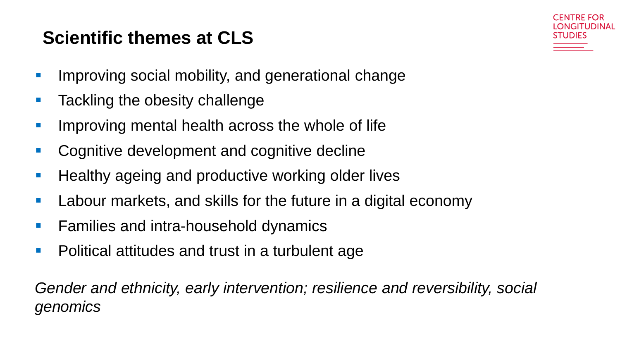## **Scientific themes at CLS**



- **IMPROVING SOCIAL MODILITY, and generational change**
- **Tackling the obesity challenge**
- Improving mental health across the whole of life
- **Cognitive development and cognitive decline**
- **Healthy ageing and productive working older lives**
- **Labour markets, and skills for the future in a digital economy**
- **Families and intra-household dynamics**
- **Political attitudes and trust in a turbulent age**

*Gender and ethnicity, early intervention; resilience and reversibility, social genomics*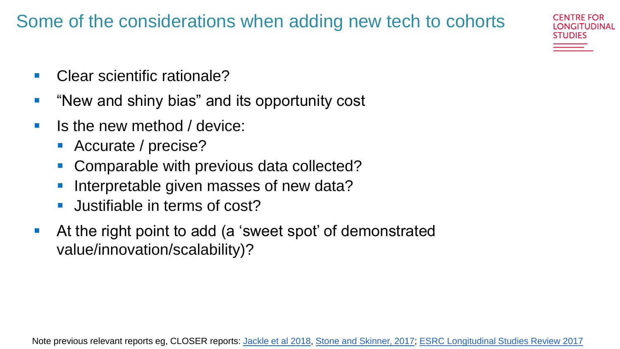## Some of the considerations when adding new tech to cohorts

- Clear scientific rationale?
- "New and shiny bias" and its opportunity cost
- **If last induce** I is the new method / device:
	- Accurate / precise?
	- Comparable with previous data collected?
	- Interpretable given masses of new data?
	- **Justifiable in terms of cost?**
- At the right point to add (a 'sweet spot' of demonstrated value/innovation/scalability)?

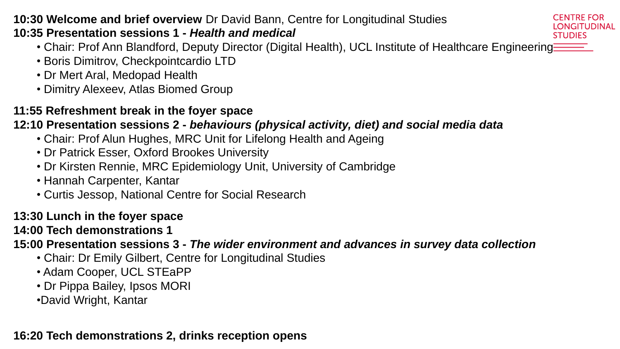#### **10:30 Welcome and brief overview** Dr David Bann, Centre for Longitudinal Studies **10:35 Presentation sessions 1 -** *Health and medical*

- Chair: Prof Ann Blandford, Deputy Director (Digital Health), UCL Institute of Healthcare Engineering **ENGILE**
- Boris Dimitrov, Checkpointcardio LTD
- Dr Mert Aral, Medopad Health
- Dimitry Alexeev, Atlas Biomed Group

#### **11:55 Refreshment break in the foyer space**

#### **12:10 Presentation sessions 2 -** *behaviours (physical activity, diet) and social media data*

- Chair: Prof Alun Hughes, MRC Unit for Lifelong Health and Ageing
- Dr Patrick Esser, Oxford Brookes University
- Dr Kirsten Rennie, MRC Epidemiology Unit, University of Cambridge
- Hannah Carpenter, Kantar
- Curtis Jessop, National Centre for Social Research

#### **13:30 Lunch in the foyer space**

#### **14:00 Tech demonstrations 1**

**15:00 Presentation sessions 3 -** *The wider environment and advances in survey data collection*

- Chair: Dr Emily Gilbert, Centre for Longitudinal Studies
- Adam Cooper, UCL STEaPP
- Dr Pippa Bailey, Ipsos MORI
- •David Wright, Kantar

#### **16:20 Tech demonstrations 2, drinks reception opens**

CENTRE FOR LONGITUDINAL **STUDIES**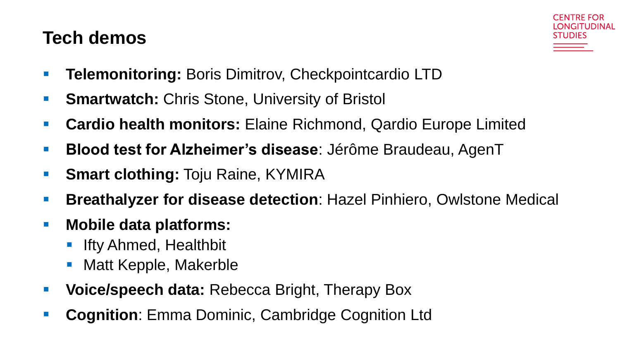### **Tech demos**



- **Telemonitoring:** Boris Dimitrov, Checkpointcardio LTD
- **Smartwatch:** Chris Stone, University of Bristol
- **Cardio health monitors:** Elaine Richmond, Qardio Europe Limited
- **Blood test for Alzheimer's disease**: Jérôme Braudeau, AgenT
- **Smart clothing: Toju Raine, KYMIRA**
- **Breathalyzer for disease detection**: Hazel Pinhiero, Owlstone Medical
- **Mobile data platforms:**
	- **Ifty Ahmed, Healthbit**
	- Matt Kepple, Makerble
- **Voice/speech data:** Rebecca Bright, Therapy Box
- **Cognition**: Emma Dominic, Cambridge Cognition Ltd